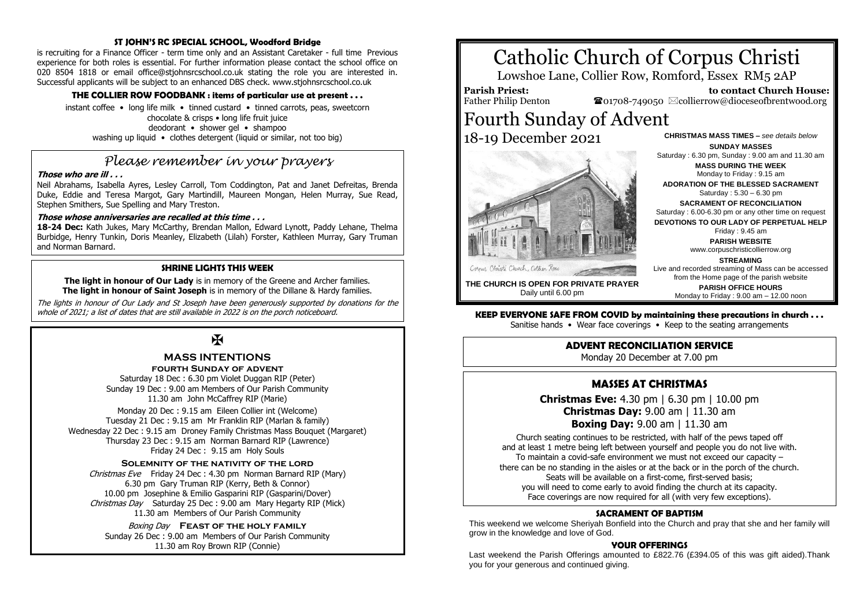#### **ST JOHN'S RC SPECIAL SCHOOL, Woodford Bridge**

is recruiting for a Finance Officer - term time only and an Assistant Caretaker - full time Previous experience for both roles is essential. For further information please contact the school office on 020 8504 1818 or email office@stjohnsrcschool.co.uk stating the role you are interested in. Successful applicants will be subject to an enhanced DBS check. www.stjohnsrcschool.co.uk

#### **THE COLLIER ROW FOODBANK : items of particular use at present . . .**

instant coffee • long life milk • tinned custard • tinned carrots, peas, sweetcorn chocolate & crisps • long life fruit juice deodorant • shower gel • shampoo washing up liquid • clothes detergent (liquid or similar, not too big)

## *Please remember in your prayers*

#### **Those who are ill . . .**

Neil Abrahams, Isabella Ayres, Lesley Carroll, Tom Coddington, Pat and Janet Defreitas, Brenda Duke, Eddie and Teresa Margot, Gary Martindill, Maureen Mongan, Helen Murray, Sue Read, Stephen Smithers, Sue Spelling and Mary Treston.

#### **Those whose anniversaries are recalled at this time . . .**

**18-24 Dec:** Kath Jukes, Mary McCarthy, Brendan Mallon, Edward Lynott, Paddy Lehane, Thelma Burbidge, Henry Tunkin, Doris Meanley, Elizabeth (Lilah) Forster, Kathleen Murray, Gary Truman and Norman Barnard.

#### **SHRINE LIGHTS THIS WEEK**

**The light in honour of Our Lady** is in memory of the Greene and Archer families. **The light in honour of Saint Joseph** is in memory of the Dillane & Hardy families.

The lights in honour of Our Lady and St Joseph have been generously supported by donations for the whole of 2021; a list of dates that are still available in 2022 is on the porch noticeboard.

### K

#### **MASS INTENTIONS fourth Sunday of advent**

Saturday 18 Dec : 6.30 pm Violet Duggan RIP (Peter) Sunday 19 Dec : 9.00 am Members of Our Parish Community 11.30 am John McCaffrey RIP (Marie)

Monday 20 Dec : 9.15 am Eileen Collier int (Welcome) Tuesday 21 Dec : 9.15 am Mr Franklin RIP (Marlan & family) Wednesday 22 Dec : 9.15 am Droney Family Christmas Mass Bouquet (Margaret) Thursday 23 Dec : 9.15 am Norman Barnard RIP (Lawrence) Friday 24 Dec : 9.15 am Holy Souls

#### **Solemnity of the nativity of the lord**

Christmas Eve Friday 24 Dec: 4.30 pm Norman Barnard RIP (Marv) 6.30 pm Gary Truman RIP (Kerry, Beth & Connor) 10.00 pm Josephine & Emilio Gasparini RIP (Gasparini/Dover) Christmas Day Saturday 25 Dec : 9.00 am Mary Hegarty RIP (Mick) 11.30 am Members of Our Parish Community

Boxing Day **Feast of the holy family** Sunday 26 Dec : 9.00 am Members of Our Parish Community 11.30 am Roy Brown RIP (Connie)

# Catholic Church of Corpus Christi

Lowshoe Lane, Collier Row, Romford, Essex RM5 2AP

**Parish Priest:** Father Philip Denton

 **to contact Church House:**  $\bullet$ 01708-749050  $\boxtimes$ collierrow@dioceseofbrentwood.org

## Fourth Sunday of Advent 18-19 December 2021



**CHRISTMAS MASS TIMES –** *see details below* **SUNDAY MASSES** Saturday : 6.30 pm, Sunday : 9.00 am and 11.30 am

**MASS DURING THE WEEK**

Monday to Friday : 9.15 am **ADORATION OF THE BLESSED SACRAMENT**

Saturday : 5.30 – 6.30 pm

**SACRAMENT OF RECONCILIATION**

Saturday : 6.00-6.30 pm or any other time on request **DEVOTIONS TO OUR LADY OF PERPETUAL HELP**

Friday : 9.45 am

**PARISH WEBSITE**

www.corpuschristicollierrow.org

**STREAMING**

Monday to Friday : 9.00 am – 12.00 noon

Live and recorded streaming of Mass can be accessed from the Home page of the parish website **PARISH OFFICE HOURS**

**THE CHURCH IS OPEN FOR PRIVATE PRAYER** Daily until 6.00 pm

**KEEP EVERYONE SAFE FROM COVID by maintaining these precautions in church . . .**

Sanitise hands • Wear face coverings • Keep to the seating arrangements

#### **ADVENT RECONCILIATION SERVICE**

Monday 20 December at 7.00 pm

#### **MASSES AT CHRISTMAS**

**Christmas Eve:** 4.30 pm | 6.30 pm | 10.00 pm **Christmas Day:** 9.00 am | 11.30 am **Boxing Day:** 9.00 am | 11.30 am

Church seating continues to be restricted, with half of the pews taped off and at least 1 metre being left between yourself and people you do not live with. To maintain a covid-safe environment we must not exceed our capacity – there can be no standing in the aisles or at the back or in the porch of the church. Seats will be available on a first-come, first-served basis; you will need to come early to avoid finding the church at its capacity. Face coverings are now required for all (with very few exceptions).

#### **SACRAMENT OF BAPTISM**

This weekend we welcome Sheriyah Bonfield into the Church and pray that she and her family will grow in the knowledge and love of God.

#### **YOUR OFFERINGS**

Last weekend the Parish Offerings amounted to £822.76 (£394.05 of this was gift aided).Thank you for your generous and continued giving.